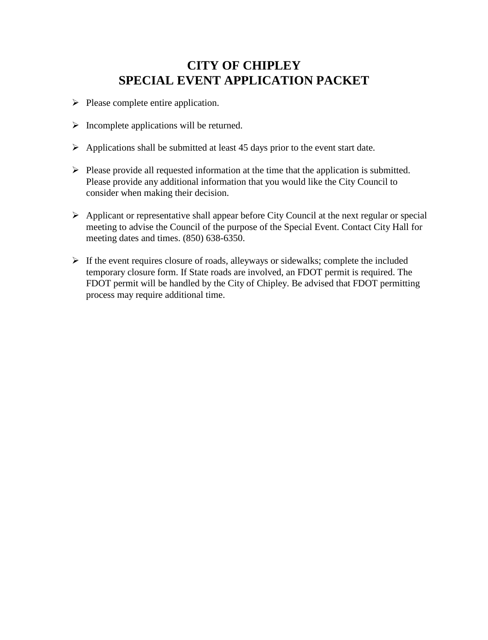### **CITY OF CHIPLEY SPECIAL EVENT APPLICATION PACKET**

- $\triangleright$  Please complete entire application.
- $\triangleright$  Incomplete applications will be returned.
- $\triangleright$  Applications shall be submitted at least 45 days prior to the event start date.
- $\triangleright$  Please provide all requested information at the time that the application is submitted. Please provide any additional information that you would like the City Council to consider when making their decision.
- $\triangleright$  Applicant or representative shall appear before City Council at the next regular or special meeting to advise the Council of the purpose of the Special Event. Contact City Hall for meeting dates and times. (850) 638-6350.
- $\triangleright$  If the event requires closure of roads, alleyways or sidewalks; complete the included temporary closure form. If State roads are involved, an FDOT permit is required. The FDOT permit will be handled by the City of Chipley. Be advised that FDOT permitting process may require additional time.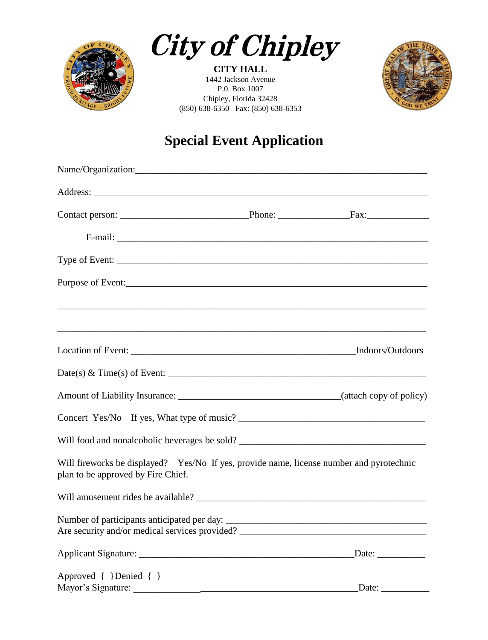

**City of Chipley** 

**CITY HALL** 1442 Jackson Avenue P.0. Box 1007 Chipley, Florida 32428 (850) 638-6350 Fax: (850) 638-6353



# **Special Event Application**

| Date(s) & Time(s) of Event: $\_\_$                                                                                             |                     |
|--------------------------------------------------------------------------------------------------------------------------------|---------------------|
|                                                                                                                                |                     |
|                                                                                                                                |                     |
| Will food and nonalcoholic beverages be sold? ___________________________________                                              |                     |
| Will fireworks be displayed? Yes/No If yes, provide name, license number and pyrotechnic<br>plan to be approved by Fire Chief. |                     |
|                                                                                                                                |                     |
| Are security and/or medical services provided?                                                                                 |                     |
|                                                                                                                                |                     |
| Approved { }Denied { }                                                                                                         | Date: $\frac{1}{2}$ |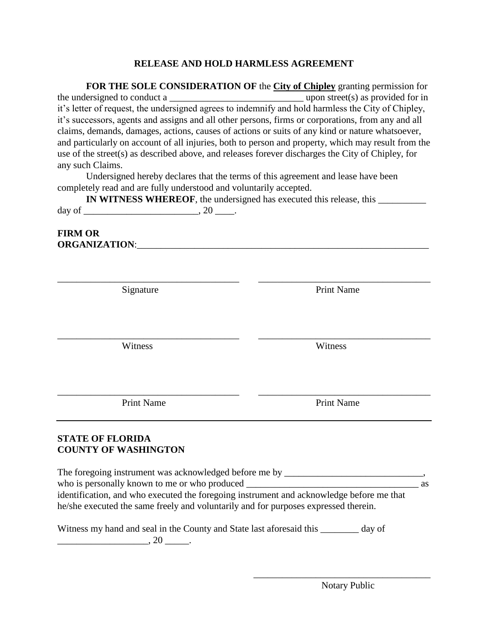#### **RELEASE AND HOLD HARMLESS AGREEMENT**

**FOR THE SOLE CONSIDERATION OF** the **City of Chipley** granting permission for the undersigned to conduct a  $\qquad \qquad \text{upon street(s) as provided for in}$ it's letter of request, the undersigned agrees to indemnify and hold harmless the City of Chipley, it's successors, agents and assigns and all other persons, firms or corporations, from any and all claims, demands, damages, actions, causes of actions or suits of any kind or nature whatsoever, and particularly on account of all injuries, both to person and property, which may result from the use of the street(s) as described above, and releases forever discharges the City of Chipley, for any such Claims.

Undersigned hereby declares that the terms of this agreement and lease have been completely read and are fully understood and voluntarily accepted.

|        | IN WITNESS WHEREOF, the undersigned has executed this release, this |  |
|--------|---------------------------------------------------------------------|--|
| day of |                                                                     |  |

\_\_\_\_\_\_\_\_\_\_\_\_\_\_\_\_\_\_\_\_\_\_\_\_\_\_\_\_\_\_\_\_\_\_\_\_\_\_ \_\_\_\_\_\_\_\_\_\_\_\_\_\_\_\_\_\_\_\_\_\_\_\_\_\_\_\_\_\_\_\_\_\_\_\_

\_\_\_\_\_\_\_\_\_\_\_\_\_\_\_\_\_\_\_\_\_\_\_\_\_\_\_\_\_\_\_\_\_\_\_\_\_\_ \_\_\_\_\_\_\_\_\_\_\_\_\_\_\_\_\_\_\_\_\_\_\_\_\_\_\_\_\_\_\_\_\_\_\_\_

\_\_\_\_\_\_\_\_\_\_\_\_\_\_\_\_\_\_\_\_\_\_\_\_\_\_\_\_\_\_\_\_\_\_\_\_\_\_ \_\_\_\_\_\_\_\_\_\_\_\_\_\_\_\_\_\_\_\_\_\_\_\_\_\_\_\_\_\_\_\_\_\_\_\_

#### **FIRM OR ORGANIZATION:**

Signature Print Name

Witness Witness

Print Name Print Name

#### **STATE OF FLORIDA COUNTY OF WASHINGTON**

The foregoing instrument was acknowledged before me by who is personally known to me or who produced \_\_\_\_\_\_\_\_\_\_\_\_\_\_\_\_\_\_\_\_\_\_\_\_\_\_\_\_\_\_\_\_\_\_\_\_ as identification, and who executed the foregoing instrument and acknowledge before me that he/she executed the same freely and voluntarily and for purposes expressed therein.

| Witness my hand and seal in the County and State last aforesaid this | _ day of |
|----------------------------------------------------------------------|----------|
| -ZU                                                                  |          |

\_\_\_\_\_\_\_\_\_\_\_\_\_\_\_\_\_\_\_\_\_\_\_\_\_\_\_\_\_\_\_\_\_\_\_\_\_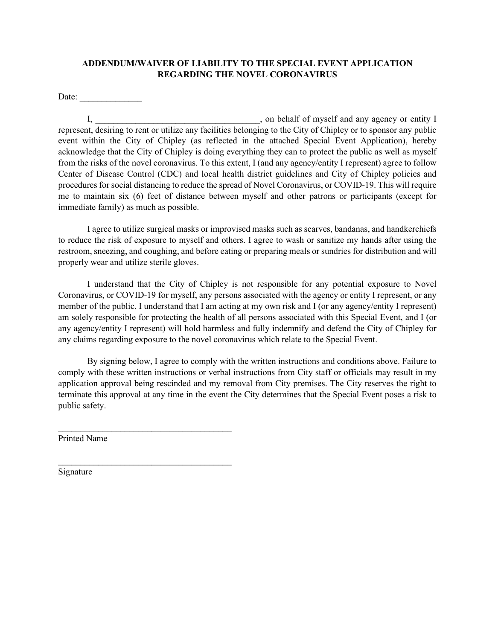#### **ADDENDUM/WAIVER OF LIABILITY TO THE SPECIAL EVENT APPLICATION REGARDING THE NOVEL CORONAVIRUS**

Date:

I, \_\_\_\_\_\_\_\_\_\_\_\_\_\_\_\_\_\_\_\_\_\_\_\_\_\_\_\_\_\_\_\_\_\_\_\_\_, on behalf of myself and any agency or entity I represent, desiring to rent or utilize any facilities belonging to the City of Chipley or to sponsor any public event within the City of Chipley (as reflected in the attached Special Event Application), hereby acknowledge that the City of Chipley is doing everything they can to protect the public as well as myself from the risks of the novel coronavirus. To this extent, I (and any agency/entity I represent) agree to follow Center of Disease Control (CDC) and local health district guidelines and City of Chipley policies and procedures for social distancing to reduce the spread of Novel Coronavirus, or COVID-19. This will require me to maintain six (6) feet of distance between myself and other patrons or participants (except for immediate family) as much as possible.

I agree to utilize surgical masks or improvised masks such as scarves, bandanas, and handkerchiefs to reduce the risk of exposure to myself and others. I agree to wash or sanitize my hands after using the restroom, sneezing, and coughing, and before eating or preparing meals or sundries for distribution and will properly wear and utilize sterile gloves.

I understand that the City of Chipley is not responsible for any potential exposure to Novel Coronavirus, or COVID-19 for myself, any persons associated with the agency or entity I represent, or any member of the public. I understand that I am acting at my own risk and I (or any agency/entity I represent) am solely responsible for protecting the health of all persons associated with this Special Event, and I (or any agency/entity I represent) will hold harmless and fully indemnify and defend the City of Chipley for any claims regarding exposure to the novel coronavirus which relate to the Special Event.

By signing below, I agree to comply with the written instructions and conditions above. Failure to comply with these written instructions or verbal instructions from City staff or officials may result in my application approval being rescinded and my removal from City premises. The City reserves the right to terminate this approval at any time in the event the City determines that the Special Event poses a risk to public safety.

Printed Name

 $\mathcal{L}_\text{max}$  , where  $\mathcal{L}_\text{max}$  and  $\mathcal{L}_\text{max}$  and  $\mathcal{L}_\text{max}$ 

 $\mathcal{L}_\text{max}$  , and the set of the set of the set of the set of the set of the set of the set of the set of the set of the set of the set of the set of the set of the set of the set of the set of the set of the set of the

Signature